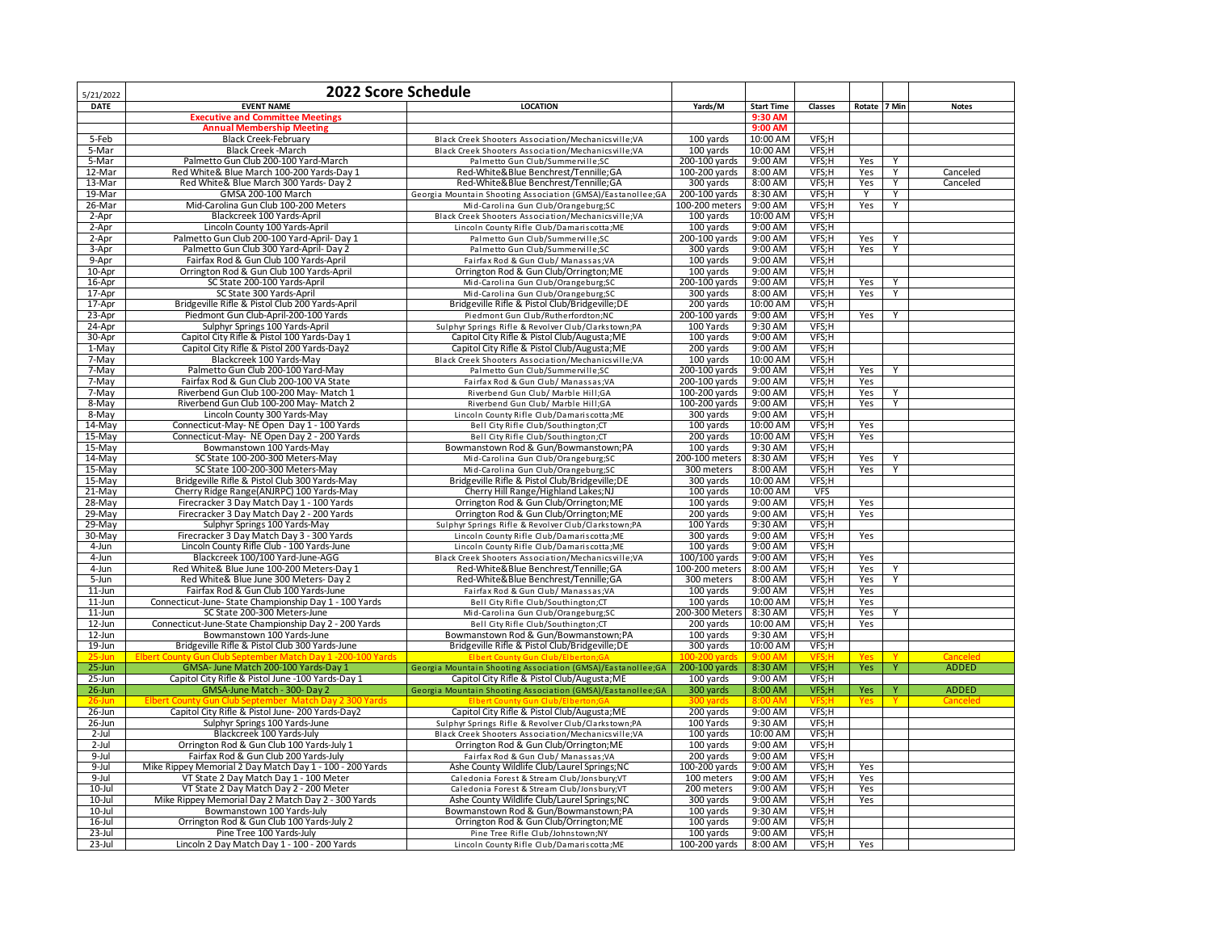| 5/21/2022           | 2022 Score Schedule                                                          |                                                                                         |                            |                     |                |            |       |              |
|---------------------|------------------------------------------------------------------------------|-----------------------------------------------------------------------------------------|----------------------------|---------------------|----------------|------------|-------|--------------|
| <b>DATE</b>         | <b>EVENT NAME</b>                                                            | <b>LOCATION</b>                                                                         | Yards/M                    | <b>Start Time</b>   | Classes        | Rotate     | 7 Min | <b>Notes</b> |
|                     | <b>Executive and Committee Meetings</b>                                      |                                                                                         |                            | 9:30 AM             |                |            |       |              |
|                     | <b>Annual Membership Meeting</b>                                             |                                                                                         |                            | 9:00 AM             |                |            |       |              |
| 5-Feb               | <b>Black Creek-February</b>                                                  | Black Creek Shooters Association/Mechanicsville;VA                                      | 100 yards                  | 10:00 AM            | VFS;H          |            |       |              |
| 5-Mar               | <b>Black Creek -March</b>                                                    | Black Creek Shooters Association/Mechanicsville;VA                                      | 100 yards                  | 10:00 AM            | VFS;H          |            |       |              |
| 5-Mar               | Palmetto Gun Club 200-100 Yard-March                                         | Palmetto Gun Club/Summerville;SC                                                        | 200-100 yards              | 9:00 AM             | VFS;H          | Yes        | Y     |              |
| 12-Mar              | Red White& Blue March 100-200 Yards-Day 1                                    | Red-White&Blue Benchrest/Tennille;GA                                                    | 100-200 yards              | 8:00 AM             | VFS;H          | Yes        | Y     | Canceled     |
| 13-Mar              | Red White& Blue March 300 Yards- Day 2                                       | Red-White&Blue Benchrest/Tennille;GA                                                    | 300 yards                  | 8:00 AM             | VFS;H          | Yes        | Y     | Canceled     |
| 19-Mar              | GMSA 200-100 March                                                           | Georgia Mountain Shooting Association (GMSA)/Eastanollee;GA                             | 200-100 yards              | 8:30 AM             | VFS;H          | Y          | Υ     |              |
| 26-Mar              | Mid-Carolina Gun Club 100-200 Meters                                         | Mid-Carolina Gun Club/Orangeburg;SC                                                     | 100-200 meters             | 9:00 AM             | VFS;H          | Yes        | Y     |              |
| 2-Apr               | Blackcreek 100 Yards-April<br>Lincoln County 100 Yards-April                 | Black Creek Shooters Association/Mechanicsville;VA                                      | 100 yards                  | 10:00 AM<br>9:00 AM | VFS;H<br>VFS;H |            |       |              |
| 2-Apr<br>2-Apr      | Palmetto Gun Club 200-100 Yard-April- Day 1                                  | Lincoln County Rifle Club/Damariscotta; ME<br>Palmetto Gun Club/Summerville;SC          | 100 yards<br>200-100 yards | 9:00 AM             | VFS;H          | Yes        | Y     |              |
| 3-Apr               | Palmetto Gun Club 300 Yard-April- Day 2                                      | Palmetto Gun Club/Summerville;SC                                                        | 300 yards                  | 9:00 AM             | VFS;H          | Yes        | Υ     |              |
| 9-Apr               | Fairfax Rod & Gun Club 100 Yards-April                                       | Fairfax Rod & Gun Club/ Manassas; VA                                                    | 100 yards                  | 9:00 AM             | VFS;H          |            |       |              |
| 10-Apr              | Orrington Rod & Gun Club 100 Yards-April                                     | Orrington Rod & Gun Club/Orrington; ME                                                  | 100 yards                  | 9:00 AM             | VFS;H          |            |       |              |
| 16-Apr              | SC State 200-100 Yards-April                                                 | Mid-Carolina Gun Club/Orangeburg;SC                                                     | 200-100 yards              | 9:00 AM             | VFS;H          | Yes        | Y     |              |
| $17$ -Apr           | SC State 300 Yards-April                                                     | Mid-Carolina Gun Club/Orangeburg;SC                                                     | 300 yards                  | 8:00 AM             | VFS;H          | Yes        | Y     |              |
| 17-Apr              | Bridgeville Rifle & Pistol Club 200 Yards-April                              | Bridgeville Rifle & Pistol Club/Bridgeville;DE                                          | 200 yards                  | 10:00 AM            | VFS;H          |            |       |              |
| 23-Apr              | Piedmont Gun Club-April-200-100 Yards                                        | Piedmont Gun Club/Rutherfordton;NC                                                      | 200-100 yards              | 9:00 AM             | VFS;H          | Yes        | Y     |              |
| 24-Apr              | Sulphyr Springs 100 Yards-April                                              | Sulphyr Springs Rifle & Revolver Club/Clarkstown;PA                                     | 100 Yards                  | 9:30 AM             | VFS;H          |            |       |              |
| 30-Apr              | Capitol City Rifle & Pistol 100 Yards-Day 1                                  | Capitol City Rifle & Pistol Club/Augusta; ME                                            | 100 yards                  | 9:00 AM             | VFS;H          |            |       |              |
| 1-May               | Capitol City Rifle & Pistol 200 Yards-Day2                                   | Capitol City Rifle & Pistol Club/Augusta; ME                                            | 200 yards                  | 9:00 AM             | VFS;H          |            |       |              |
| 7-May               | Blackcreek 100 Yards-May                                                     | Black Creek Shooters Association/Mechanicsville;VA                                      | 100 yards                  | 10:00 AM            | VFS;H          |            |       |              |
| 7-May               | Palmetto Gun Club 200-100 Yard-May                                           | Palmetto Gun Club/Summerville;SC                                                        | 200-100 yards              | 9:00 AM             | VFS;H          | Yes        | Y     |              |
| 7-May               | Fairfax Rod & Gun Club 200-100 VA State                                      | Fairfax Rod & Gun Club/ Manassas; VA                                                    | 200-100 yards              | 9:00 AM             | VFS;H          | Yes        |       |              |
| 7-May               | Riverbend Gun Club 100-200 May- Match 1                                      | Riverbend Gun Club/ Marble Hill;GA                                                      | 100-200 yards              | 9:00 AM             | VFS;H          | Yes        | Y     |              |
| 8-May               | Riverbend Gun Club 100-200 May- Match 2                                      | Riverbend Gun Club/ Marble Hill;GA                                                      | 100-200 yards              | 9:00 AM             | VFS;H          | Yes        | Y     |              |
| 8-May               | Lincoln County 300 Yards-May                                                 | Lincoln County Rifle Club/Damariscotta; ME                                              | 300 yards                  | 9:00 AM             | VFS;H          |            |       |              |
| 14-May              | Connecticut-May-NE Open Day 1 - 100 Yards                                    | Bell City Rifle Club/Southington;CT                                                     | 100 yards                  | 10:00 AM            | VFS;H          | Yes        |       |              |
| 15-Mav<br>15-May    | Connecticut-May- NE Open Day 2 - 200 Yards<br>Bowmanstown 100 Yards-May      | Bell City Rifle Club/Southington;CT                                                     | 200 yards<br>100 yards     | 10:00 AM<br>9:30 AM | VFS:H<br>VFS;H | Yes        |       |              |
| $14$ -May           | SC State 100-200-300 Meters-May                                              | Bowmanstown Rod & Gun/Bowmanstown;PA<br>Mid-Carolina Gun Club/Orangeburg;SC             | 200-100 meters             | 8:30 AM             | VFS;H          | Yes        | Y     |              |
| 15-May              | SC State 100-200-300 Meters-May                                              | Mid-Carolina Gun Club/Orangeburg;SC                                                     | 300 meters                 | 8:00 AM             | VFS;H          | Yes        | Y     |              |
| $15-May$            | Bridgeville Rifle & Pistol Club 300 Yards-May                                | Bridgeville Rifle & Pistol Club/Bridgeville;DE                                          | 300 yards                  | 10:00 AM            | VFS;H          |            |       |              |
| 21-May              | Cherry Ridge Range(ANJRPC) 100 Yards-May                                     | Cherry Hill Range/Highland Lakes; NJ                                                    | 100 yards                  | 10:00 AM            | <b>VFS</b>     |            |       |              |
| 28-May              | Firecracker 3 Day Match Day 1 - 100 Yards                                    | Orrington Rod & Gun Club/Orrington; ME                                                  | 100 yards                  | 9:00 AM             | VFS;H          | Yes        |       |              |
| 29-May              | Firecracker 3 Day Match Day 2 - 200 Yards                                    | Orrington Rod & Gun Club/Orrington; ME                                                  | 200 yards                  | 9:00 AM             | VFS;H          | Yes        |       |              |
| $29$ -May           | Sulphyr Springs 100 Yards-May                                                | Sulphyr Springs Rifle & Revolver Club/Clarkstown;PA                                     | 100 Yards                  | 9:30 AM             | VFS;H          |            |       |              |
| 30-May              | Firecracker 3 Day Match Day 3 - 300 Yards                                    | Lincoln County Rifle Club/Damariscotta;ME                                               | 300 yards                  | 9:00 AM             | VFS;H          | Yes        |       |              |
| 4-Jun               | Lincoln County Rifle Club - 100 Yards-June                                   | Lincoln County Rifle Club/Damariscotta; ME                                              | 100 yards                  | 9:00 AM             | VFS;H          |            |       |              |
| $4 - Jun$           | Blackcreek 100/100 Yard-June-AGG                                             | Black Creek Shooters Association/Mechanicsville;VA                                      | 100/100 yards              | 9:00 AM             | VFS;H          | Yes        |       |              |
| $4 - Jun$           | Red White& Blue June 100-200 Meters-Day 1                                    | Red-White&Blue Benchrest/Tennille;GA                                                    | 100-200 meters             | 8:00 AM             | VFS;H          | Yes        | Υ     |              |
| 5-Jun               | Red White& Blue June 300 Meters-Day 2                                        | Red-White&Blue Benchrest/Tennille;GA                                                    | 300 meters                 | 8:00 AM             | VFS;H          | Yes        | Y     |              |
| $11$ -Jun           | Fairfax Rod & Gun Club 100 Yards-June                                        | Fairfax Rod & Gun Club/ Manassas; VA                                                    | 100 yards                  | 9:00 AM             | VFS;H          | Yes        |       |              |
| $11$ -Jun           | Connecticut-June-State Championship Day 1 - 100 Yards                        | Bell City Rifle Club/Southington;CT                                                     | 100 yards                  | 10:00 AM            | VFS;H          | Yes        |       |              |
| $11$ -Jun           | SC State 200-300 Meters-June                                                 | Mid-Carolina Gun Club/Orangeburg;SC                                                     | 200-300 Meters             | 8:30 AM             | VFS;H          | Yes        | Y     |              |
| 12-Jun              | Connecticut-June-State Championship Day 2 - 200 Yards                        | Bell City Rifle Club/Southington;CT                                                     | 200 yards                  | 10:00 AM            | VFS;H          | Yes        |       |              |
| $12$ -Jun           | Bowmanstown 100 Yards-June<br>Bridgeville Rifle & Pistol Club 300 Yards-June | Bowmanstown Rod & Gun/Bowmanstown;PA<br>Bridgeville Rifle & Pistol Club/Bridgeville; DE | 100 yards                  | 9:30 AM<br>10:00 AM | VFS;H          |            |       |              |
| 19-Jun<br>$25-$ lur | <b>Gun Club September Match Day 1-2</b><br>Flhert Cour                       | <b>Elbert County Gun Club/Elbe</b>                                                      | 300 yards                  | $9:00$ AM           | VFS;H<br>VFS   |            |       |              |
| $25 - Jun$          | GMSA-June Match 200-100 Yards-Day 1                                          | Georgia Mountain Shooting Association (GMSA)/Eastanollee;GA                             | 200-100 yards              | 8:30 AM             | VFS;H          | <b>Yes</b> | Y     | <b>ADDED</b> |
| 25-Jun              | Capitol City Rifle & Pistol June -100 Yards-Day 1                            | Capitol City Rifle & Pistol Club/Augusta; ME                                            | 100 yards                  | 9:00 AM             | VFS;H          |            |       |              |
| $26$ -Jun           | GMSA-June Match - 300- Day 2                                                 | Georgia Mountain Shooting Association (GMSA)/Eastanollee;GA                             | 300 yards                  | 8:00 AM             | VFS;H          | Yes        |       | <b>ADDED</b> |
| 26-Jur              | / Gun Club Sentember, Match D:                                               | <b>Elbert County Gun Club/Elbertor</b>                                                  | 300.                       | 8:00 AM             | VFS;H          | Yes        |       |              |
| 26-Jun              | Capitol City Rifle & Pistol June-200 Yards-Day2                              | Capitol City Rifle & Pistol Club/Augusta; ME                                            | 200 yards                  | 9:00 AM             | VFS;H          |            |       |              |
| 26-Jun              | Sulphyr Springs 100 Yards-June                                               | Sulphyr Springs Rifle & Revolver Club/Clarkstown;PA                                     | 100 Yards                  | 9:30 AM             | VFS;H          |            |       |              |
| 2-Jul               | Blackcreek 100 Yards-July                                                    | Black Creek Shooters Association/Mechanicsville;VA                                      | 100 yards                  | 10:00 AM            | VFS;H          |            |       |              |
| $2$ -Jul            | Orrington Rod & Gun Club 100 Yards-July 1                                    | Orrington Rod & Gun Club/Orrington; ME                                                  | 100 yards                  | 9:00 AM             | VFS;H          |            |       |              |
| $9$ -Jul            | Fairfax Rod & Gun Club 200 Yards-July                                        | Fairfax Rod & Gun Club/ Manassas; VA                                                    | 200 yards                  | 9:00 AM             | VFS;H          |            |       |              |
| $9$ -Jul            | Mike Rippey Memorial 2 Day Match Day 1 - 100 - 200 Yards                     | Ashe County Wildlife Club/Laurel Springs; NC                                            | 100-200 yards              | 9:00 AM             | VFS;H          | Yes        |       |              |
| $9$ -Jul            | VT State 2 Day Match Day 1 - 100 Meter                                       | Caledonia Forest & Stream Club/Jonsbury;VT                                              | 100 meters                 | 9:00 AM             | VFS;H          | Yes        |       |              |
| $10 -$ Jul          | VT State 2 Day Match Day 2 - 200 Meter                                       | Caledonia Forest & Stream Club/Jonsbury;VT                                              | 200 meters                 | 9:00 AM             | VFS;H          | Yes        |       |              |
| $10 -$ Jul          | Mike Rippey Memorial Day 2 Match Day 2 - 300 Yards                           | Ashe County Wildlife Club/Laurel Springs; NC                                            | 300 yards                  | 9:00 AM             | VFS;H          | Yes        |       |              |
| 10-Jul              | Bowmanstown 100 Yards-July                                                   | Bowmanstown Rod & Gun/Bowmanstown;PA                                                    | 100 yards                  | 9:30 AM             | VFS;H          |            |       |              |
| 16-Jul              | Orrington Rod & Gun Club 100 Yards-July 2                                    | Orrington Rod & Gun Club/Orrington; ME                                                  | 100 yards                  | 9:00 AM             | VFS;H          |            |       |              |
| 23-Jul<br>23-Jul    | Pine Tree 100 Yards-July                                                     | Pine Tree Rifle Club/Johnstown;NY                                                       | 100 yards                  | 9:00 AM             | VFS;H<br>VFS;H | Yes        |       |              |
|                     | Lincoln 2 Day Match Day 1 - 100 - 200 Yards                                  | Lincoln County Rifle Club/Damariscotta; ME                                              | 100-200 yards              | $8:00 \text{ AM}$   |                |            |       |              |